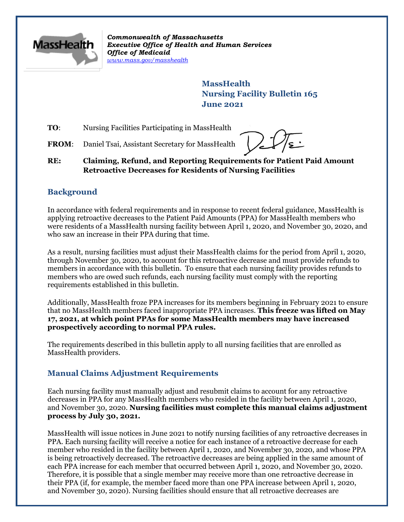

*Commonwealth of Massachusetts Executive Office of Health and Human Services Office of Medicaid [www.mass.gov/masshealth](http://www.mass.gov/masshealth)*

> **MassHealth Nursing Facility Bulletin 165 June 2021**

**TO:** Nursing Facilities Participating in MassHealth

FROM: Daniel Tsai, Assistant Secretary for MassHealth

**RE: Claiming, Refund, and Reporting Requirements for Patient Paid Amount Retroactive Decreases for Residents of Nursing Facilities** 

### **Background**

In accordance with federal requirements and in response to recent federal guidance, MassHealth is applying retroactive decreases to the Patient Paid Amounts (PPA) for MassHealth members who were residents of a MassHealth nursing facility between April 1, 2020, and November 30, 2020, and who saw an increase in their PPA during that time.

As a result, nursing facilities must adjust their MassHealth claims for the period from April 1, 2020, through November 30, 2020, to account for this retroactive decrease and must provide refunds to members in accordance with this bulletin. To ensure that each nursing facility provides refunds to members who are owed such refunds, each nursing facility must comply with the reporting requirements established in this bulletin.

Additionally, MassHealth froze PPA increases for its members beginning in February 2021 to ensure that no MassHealth members faced inappropriate PPA increases. **This freeze was lifted on May 17, 2021, at which point PPAs for some MassHealth members may have increased prospectively according to normal PPA rules.**

The requirements described in this bulletin apply to all nursing facilities that are enrolled as MassHealth providers.

## **Manual Claims Adjustment Requirements**

Each nursing facility must manually adjust and resubmit claims to account for any retroactive decreases in PPA for any MassHealth members who resided in the facility between April 1, 2020, and November 30, 2020. **Nursing facilities must complete this manual claims adjustment process by July 30, 2021.** 

MassHealth will issue notices in June 2021 to notify nursing facilities of any retroactive decreases in PPA. Each nursing facility will receive a notice for each instance of a retroactive decrease for each member who resided in the facility between April 1, 2020, and November 30, 2020, and whose PPA is being retroactively decreased. The retroactive decreases are being applied in the same amount of each PPA increase for each member that occurred between April 1, 2020, and November 30, 2020. Therefore, it is possible that a single member may receive more than one retroactive decrease in their PPA (if, for example, the member faced more than one PPA increase between April 1, 2020, and November 30, 2020). Nursing facilities should ensure that all retroactive decreases are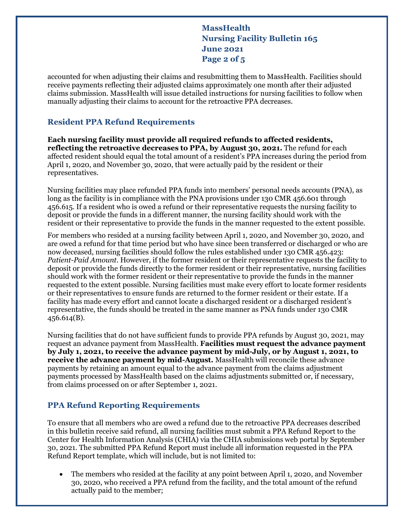**MassHealth Nursing Facility Bulletin 165 June 2021 Page 2 of 5**

accounted for when adjusting their claims and resubmitting them to MassHealth. Facilities should receive payments reflecting their adjusted claims approximately one month after their adjusted claims submission. MassHealth will issue detailed instructions for nursing facilities to follow when manually adjusting their claims to account for the retroactive PPA decreases.

#### **Resident PPA Refund Requirements**

**Each nursing facility must provide all required refunds to affected residents, reflecting the retroactive decreases to PPA, by August 30, 2021.** The refund for each affected resident should equal the total amount of a resident's PPA increases during the period from April 1, 2020, and November 30, 2020, that were actually paid by the resident or their representatives.

Nursing facilities may place refunded PPA funds into members' personal needs accounts (PNA), as long as the facility is in compliance with the PNA provisions under 130 CMR 456.601 through 456.615. If a resident who is owed a refund or their representative requests the nursing facility to deposit or provide the funds in a different manner, the nursing facility should work with the resident or their representative to provide the funds in the manner requested to the extent possible.

For members who resided at a nursing facility between April 1, 2020, and November 30, 2020, and are owed a refund for that time period but who have since been transferred or discharged or who are now deceased, nursing facilities should follow the rules established under 130 CMR 456.423: *Patient-Paid Amount*. However, if the former resident or their representative requests the facility to deposit or provide the funds directly to the former resident or their representative, nursing facilities should work with the former resident or their representative to provide the funds in the manner requested to the extent possible. Nursing facilities must make every effort to locate former residents or their representatives to ensure funds are returned to the former resident or their estate. If a facility has made every effort and cannot locate a discharged resident or a discharged resident's representative, the funds should be treated in the same manner as PNA funds under 130 CMR 456.614(B).

Nursing facilities that do not have sufficient funds to provide PPA refunds by August 30, 2021, may request an advance payment from MassHealth. **Facilities must request the advance payment by July 1, 2021, to receive the advance payment by mid-July, or by August 1, 2021, to receive the advance payment by mid-August.** MassHealth will reconcile these advance payments by retaining an amount equal to the advance payment from the claims adjustment payments processed by MassHealth based on the claims adjustments submitted or, if necessary, from claims processed on or after September 1, 2021.

### **PPA Refund Reporting Requirements**

To ensure that all members who are owed a refund due to the retroactive PPA decreases described in this bulletin receive said refund, all nursing facilities must submit a PPA Refund Report to the Center for Health Information Analysis (CHIA) via the CHIA submissions web portal by September 30, 2021. The submitted PPA Refund Report must include all information requested in the PPA Refund Report template, which will include, but is not limited to:

 The members who resided at the facility at any point between April 1, 2020, and November 30, 2020, who received a PPA refund from the facility, and the total amount of the refund actually paid to the member;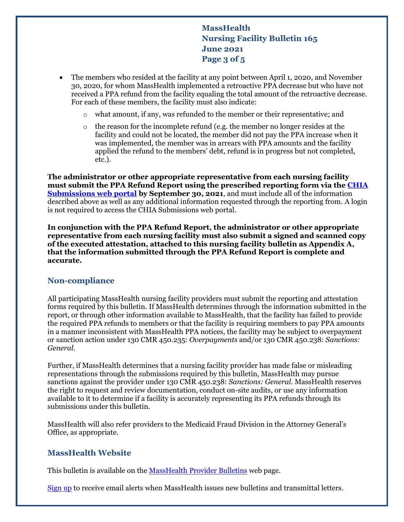**MassHealth Nursing Facility Bulletin 165 June 2021 Page 3 of 5**

- The members who resided at the facility at any point between April 1, 2020, and November 30, 2020, for whom MassHealth implemented a retroactive PPA decrease but who have not received a PPA refund from the facility equaling the total amount of the retroactive decrease. For each of these members, the facility must also indicate:
	- o what amount, if any, was refunded to the member or their representative; and
	- $\circ$  the reason for the incomplete refund (e.g. the member no longer resides at the facility and could not be located, the member did not pay the PPA increase when it was implemented, the member was in arrears with PPA amounts and the facility applied the refund to the members' debt, refund is in progress but not completed, etc.).

**The administrator or other appropriate representative from each nursing facility must submit the PPA Refund Report using the prescribed reporting form via the [CHIA](https://chiasubmissions.chia.state.ma.us/NHPDR/)  [Submissions web portal](https://chiasubmissions.chia.state.ma.us/NHPDR/) by September 30, 2021**, and must include all of the information described above as well as any additional information requested through the reporting from. A login is not required to access the CHIA Submissions web portal.

**In conjunction with the PPA Refund Report, the administrator or other appropriate representative from each nursing facility must also submit a signed and scanned copy of the executed attestation, attached to this nursing facility bulletin as Appendix A, that the information submitted through the PPA Refund Report is complete and accurate.**

### **Non-compliance**

All participating MassHealth nursing facility providers must submit the reporting and attestation forms required by this bulletin. If MassHealth determines through the information submitted in the report, or through other information available to MassHealth, that the facility has failed to provide the required PPA refunds to members or that the facility is requiring members to pay PPA amounts in a manner inconsistent with MassHealth PPA notices, the facility may be subject to overpayment or sanction action under 130 CMR 450.235: *Overpayments* and/or 130 CMR 450.238: *Sanctions: General*.

Further, if MassHealth determines that a nursing facility provider has made false or misleading representations through the submissions required by this bulletin, MassHealth may pursue sanctions against the provider under 130 CMR 450.238: *Sanctions: General*. MassHealth reserves the right to request and review documentation, conduct on-site audits, or use any information available to it to determine if a facility is accurately representing its PPA refunds through its submissions under this bulletin.

MassHealth will also refer providers to the Medicaid Fraud Division in the Attorney General's Office, as appropriate.

### **MassHealth Website**

This bulletin is available on th[e MassHealth Provider Bulletins](http://www.mass.gov/masshealth-provider-bulletins) web page.

[Sign up](https://www.mass.gov/forms/email-notifications-for-masshealth-provider-bulletins-and-transmittal-letters) to receive email alerts when MassHealth issues new bulletins and transmittal letters.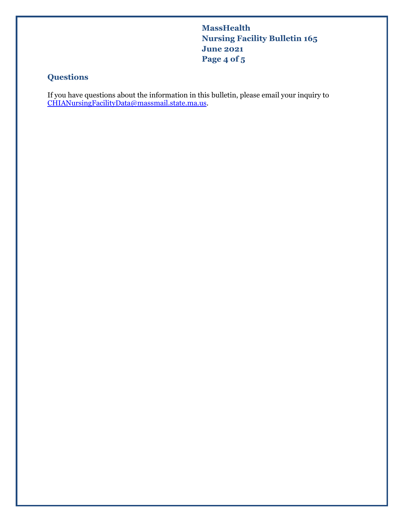**MassHealth Nursing Facility Bulletin 165 June 2021 Page 4 of 5**

# **Questions**

If you have questions about the information in this bulletin, please email your inquiry to [CHIANursingFacilityData@massmail.state.ma.us.](mailto:CHIANursingFacilityData@massmail.state.ma.us)